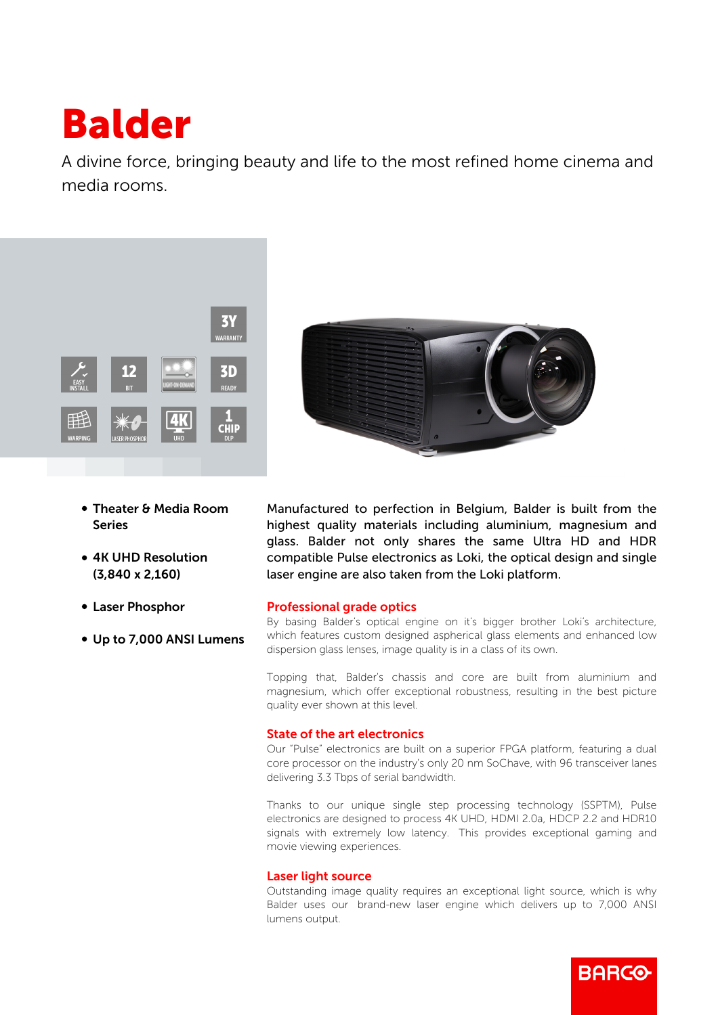# Balder

A divine force, bringing beauty and life to the most refined home cinema and media rooms.



- Theater & Media Room Series
- 4K UHD Resolution (3,840 x 2,160)
- Laser Phosphor
- Up to 7,000 ANSI Lumens



Manufactured to perfection in Belgium, Balder is built from the highest quality materials including aluminium, magnesium and glass. Balder not only shares the same Ultra HD and HDR compatible Pulse electronics as Loki, the optical design and single laser engine are also taken from the Loki platform.

# Professional grade optics

By basing Balder's optical engine on it's bigger brother Loki's architecture, which features custom designed aspherical glass elements and enhanced low dispersion glass lenses, image quality is in a class of its own.

Topping that, Balder's chassis and core are built from aluminium and magnesium, which offer exceptional robustness, resulting in the best picture quality ever shown at this level.

## State of the art electronics

Our "Pulse" electronics are built on a superior FPGA platform, featuring a dual core processor on the industry's only 20 nm SoChave, with 96 transceiver lanes delivering 3.3 Tbps of serial bandwidth.

Thanks to our unique single step processing technology (SSPTM), Pulse electronics are designed to process 4K UHD, HDMI 2.0a, HDCP 2.2 and HDR10 signals with extremely low latency. This provides exceptional gaming and movie viewing experiences.

## Laser light source

Outstanding image quality requires an exceptional light source, which is why Balder uses our brand-new laser engine which delivers up to 7,000 ANSI lumens output.

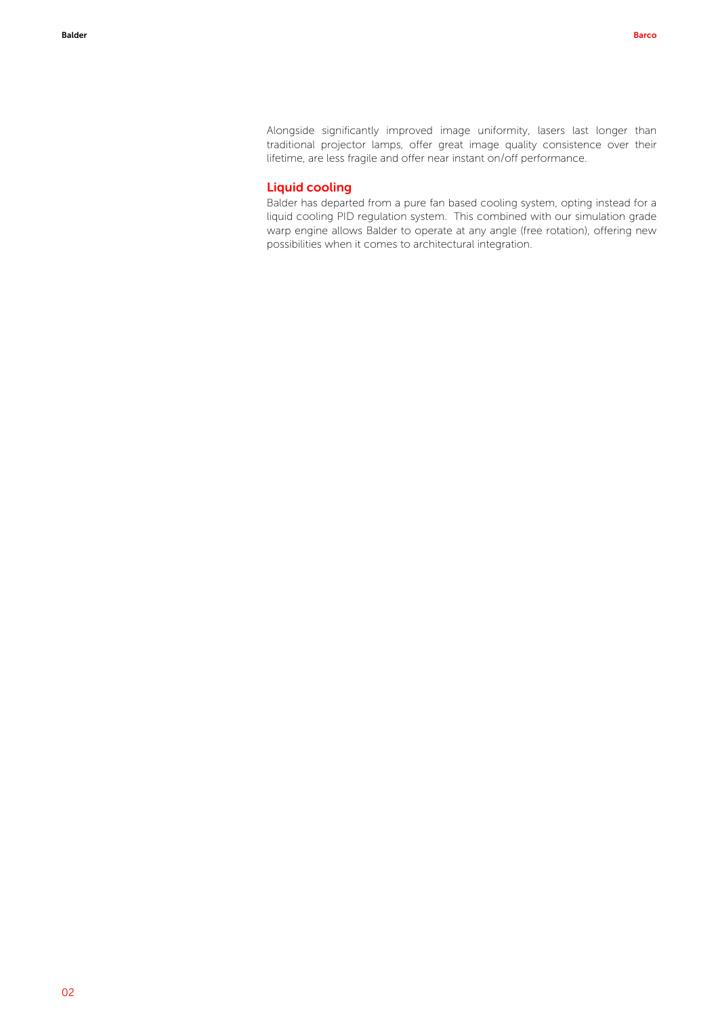Alongside significantly improved image uniformity, lasers last longer than traditional projector lamps, offer great image quality consistence over their lifetime, are less fragile and offer near instant on/off performance.

#### Liquid cooling

Balder has departed from a pure fan based cooling system, opting instead for a liquid cooling PID regulation system. This combined with our simulation grade warp engine allows Balder to operate at any angle (free rotation), offering new possibilities when it comes to architectural integration.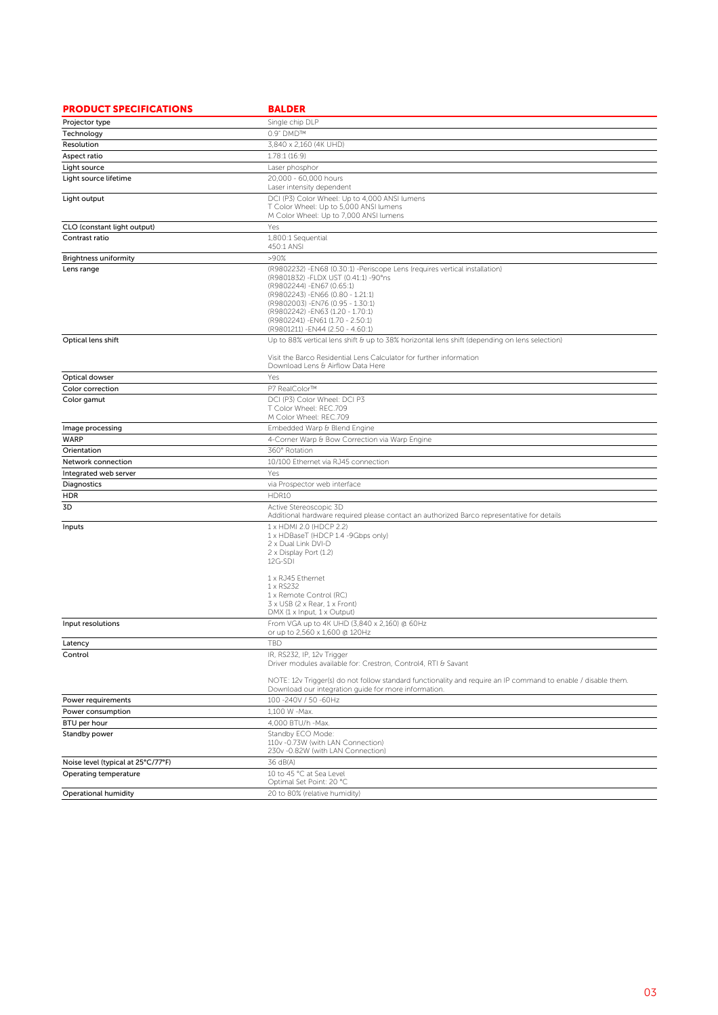| <b>PRODUCT SPECIFICATIONS</b>      | <b>BALDER</b>                                                                                                                                                                                                                                                                                                                                |
|------------------------------------|----------------------------------------------------------------------------------------------------------------------------------------------------------------------------------------------------------------------------------------------------------------------------------------------------------------------------------------------|
| Projector type                     | Single chip DLP                                                                                                                                                                                                                                                                                                                              |
| Technology                         | 0.9" DMD™                                                                                                                                                                                                                                                                                                                                    |
| Resolution                         | 3,840 x 2,160 (4K UHD)                                                                                                                                                                                                                                                                                                                       |
| Aspect ratio                       | 1.78:1 (16:9)                                                                                                                                                                                                                                                                                                                                |
| Light source                       | Laser phosphor                                                                                                                                                                                                                                                                                                                               |
| Light source lifetime              | 20,000 - 60,000 hours<br>Laser intensity dependent                                                                                                                                                                                                                                                                                           |
| Light output                       | DCI (P3) Color Wheel: Up to 4,000 ANSI lumens<br>T Color Wheel: Up to 5,000 ANSI lumens<br>M Color Wheel: Up to 7,000 ANSI lumens                                                                                                                                                                                                            |
| CLO (constant light output)        | Yes                                                                                                                                                                                                                                                                                                                                          |
| Contrast ratio                     | 1,800:1 Sequential<br>450:1 ANSI                                                                                                                                                                                                                                                                                                             |
| <b>Brightness uniformity</b>       | >90%                                                                                                                                                                                                                                                                                                                                         |
| Lens range                         | (R9802232) -EN68 (0.30:1) -Periscope Lens (requires vertical installation)<br>(R9801832) - FLDX UST (0.41:1) - 90° ns<br>(R9802244) - EN67 (0.65:1)<br>(R9802243) - EN66 (0.80 - 1.21:1)<br>(R9802003) - EN76 (0.95 - 1.30:1)<br>(R9802242) - EN63 (1.20 - 1.70:1)<br>(R9802241) - EN61 (1.70 - 2.50:1)<br>(R9801211) - EN44 (2.50 - 4.60:1) |
| Optical lens shift                 | Up to 88% vertical lens shift & up to 38% horizontal lens shift (depending on lens selection)                                                                                                                                                                                                                                                |
|                                    | Visit the Barco Residential Lens Calculator for further information<br>Download Lens & Airflow Data Here                                                                                                                                                                                                                                     |
| Optical dowser                     | Yes                                                                                                                                                                                                                                                                                                                                          |
| Color correction                   | P7 RealColor™                                                                                                                                                                                                                                                                                                                                |
| Color gamut                        | DCI (P3) Color Wheel: DCI P3<br>T Color Wheel: REC.709<br>M Color Wheel: REC.709                                                                                                                                                                                                                                                             |
| Image processing                   | Embedded Warp & Blend Engine                                                                                                                                                                                                                                                                                                                 |
| <b>WARP</b>                        | 4-Corner Warp & Bow Correction via Warp Engine                                                                                                                                                                                                                                                                                               |
| Orientation                        | 360° Rotation                                                                                                                                                                                                                                                                                                                                |
| Network connection                 | 10/100 Ethernet via RJ45 connection                                                                                                                                                                                                                                                                                                          |
| Integrated web server              | Yes                                                                                                                                                                                                                                                                                                                                          |
| Diagnostics                        | via Prospector web interface                                                                                                                                                                                                                                                                                                                 |
| HDR                                | HDR10                                                                                                                                                                                                                                                                                                                                        |
| 3D                                 | Active Stereoscopic 3D<br>Additional hardware required please contact an authorized Barco representative for details                                                                                                                                                                                                                         |
| Inputs                             | 1 x HDMI 2.0 (HDCP 2.2)<br>1 x HDBaseT (HDCP 1.4 -9Gbps only)<br>2 x Dual Link DVI-D<br>2 x Display Port (1.2)<br>12G-SDI<br>1 x RJ45 Ethernet<br>1 x RS232                                                                                                                                                                                  |
|                                    | 1 x Remote Control (RC)<br>3 x USB (2 x Rear, 1 x Front)<br>DMX (1 x Input, 1 x Output)                                                                                                                                                                                                                                                      |
| Input resolutions                  | From VGA up to 4K UHD (3,840 x 2,160) @ 60Hz<br>or up to 2,560 x 1,600 @ 120Hz                                                                                                                                                                                                                                                               |
| Latency                            | <b>TBD</b>                                                                                                                                                                                                                                                                                                                                   |
| Control                            | IR, RS232, IP, 12v Trigger<br>Driver modules available for: Crestron, Control4, RTI & Savant                                                                                                                                                                                                                                                 |
|                                    | NOTE: 12v Trigger(s) do not follow standard functionality and require an IP command to enable / disable them.<br>Download our integration guide for more information.                                                                                                                                                                        |
| Power requirements                 | 100 -240V / 50 -60Hz                                                                                                                                                                                                                                                                                                                         |
| Power consumption                  | 1,100 W -Max.                                                                                                                                                                                                                                                                                                                                |
| BTU per hour                       | 4,000 BTU/h -Max.                                                                                                                                                                                                                                                                                                                            |
| Standby power                      | Standby ECO Mode:<br>110v - 0.73W (with LAN Connection)<br>230v -0.82W (with LAN Connection)                                                                                                                                                                                                                                                 |
| Noise level (typical at 25°C/77°F) | 36 dB(A)                                                                                                                                                                                                                                                                                                                                     |
| Operating temperature              | 10 to 45 °C at Sea Level<br>Optimal Set Point: 20 °C                                                                                                                                                                                                                                                                                         |
| Operational humidity               | 20 to 80% (relative humidity)                                                                                                                                                                                                                                                                                                                |